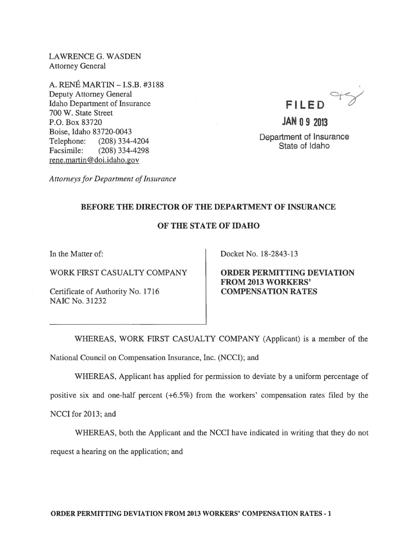LAWRENCE G. WASDEN Attorney General

A. RENE MARTIN -I.S.B. #3188 Deputy Attorney General Idaho Department of Insurance 700 W. State Street P.O. Box 83720 Boise, Idaho 83720-0043 Telephone: (208) 334-4204 Facsimile: (208) 334-4298 rene. martin @doi.idaho.gov

 $FILED$ <sup> $\rightarrow$ </sup>

**JAN 0 9 2013**  Department of Insurance State of Idaho

*Attorneys for Department of Insurance* 

## BEFORE THE DIRECTOR OF THE DEPARTMENT OF INSURANCE

## OF THE STATE OF IDAHO

In the Matter of:

WORK FIRST CASUALTY COMPANY

Certificate of Authority No. 1716 NAIC No. 31232

Docket No. 18-2843-13

ORDER PERMITTING DEVIATION FROM 2013 WORKERS' COMPENSATION RATES

WHEREAS, WORK FIRST CASUALTY COMPANY (Applicant) is a member of the National Council on Compensation Insurance, Inc. (NCCI); and

WHEREAS, Applicant has applied for permission to deviate by a uniform percentage of

positive six and one-half percent (+6.5%) from the workers' compensation rates filed by the

NCCI for 2013; and

WHEREAS, both the Applicant and the NCCI have indicated in writing that they do not request a hearing on the application; and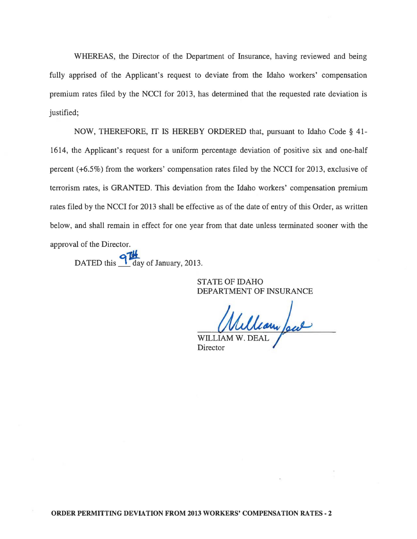WHEREAS, the Director of the Department of Insurance, having reviewed and being fully apprised of the Applicant's request to deviate from the Idaho workers' compensation premium rates filed by the NCC! for 2013, has determined that the requested rate deviation is justified;

NOW, THEREFORE, IT IS HEREBY ORDERED that, pursuant to Idaho Code § 41- 1614, the Applicant's request for a uniform percentage deviation of positive six and one-half percent (+6.5%) from the workers' compensation rates filed by the NCCI for 2013, exclusive of terrorism rates, is GRANTED. This deviation from the Idaho workers' compensation premium rates filed by the NCCI for 2013 shall be effective as of the date of entry of this Order, as written below, and shall remain in effect for one year from that date unless terminated sooner with the approval of the Director.

DATED this  $\frac{9}{4}$  day of January, 2013.

STATE OF IDAHO DEPARTMENT OF INSURANCE

William Jew WILLIAM W

Director